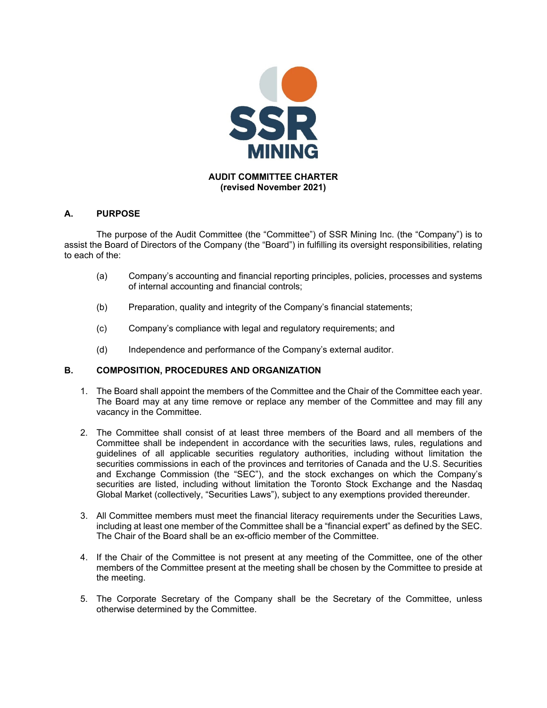

# **A. PURPOSE**

The purpose of the Audit Committee (the "Committee") of SSR Mining Inc. (the "Company") is to assist the Board of Directors of the Company (the "Board") in fulfilling its oversight responsibilities, relating to each of the:

- (a) Company's accounting and financial reporting principles, policies, processes and systems of internal accounting and financial controls;
- (b) Preparation, quality and integrity of the Company's financial statements;
- (c) Company's compliance with legal and regulatory requirements; and
- (d) Independence and performance of the Company's external auditor.

### **B. COMPOSITION, PROCEDURES AND ORGANIZATION**

- 1. The Board shall appoint the members of the Committee and the Chair of the Committee each year. The Board may at any time remove or replace any member of the Committee and may fill any vacancy in the Committee.
- 2. The Committee shall consist of at least three members of the Board and all members of the Committee shall be independent in accordance with the securities laws, rules, regulations and guidelines of all applicable securities regulatory authorities, including without limitation the securities commissions in each of the provinces and territories of Canada and the U.S. Securities and Exchange Commission (the "SEC"), and the stock exchanges on which the Company's securities are listed, including without limitation the Toronto Stock Exchange and the Nasdaq Global Market (collectively, "Securities Laws"), subject to any exemptions provided thereunder.
- 3. All Committee members must meet the financial literacy requirements under the Securities Laws, including at least one member of the Committee shall be a "financial expert" as defined by the SEC. The Chair of the Board shall be an ex-officio member of the Committee.
- 4. If the Chair of the Committee is not present at any meeting of the Committee, one of the other members of the Committee present at the meeting shall be chosen by the Committee to preside at the meeting.
- 5. The Corporate Secretary of the Company shall be the Secretary of the Committee, unless otherwise determined by the Committee.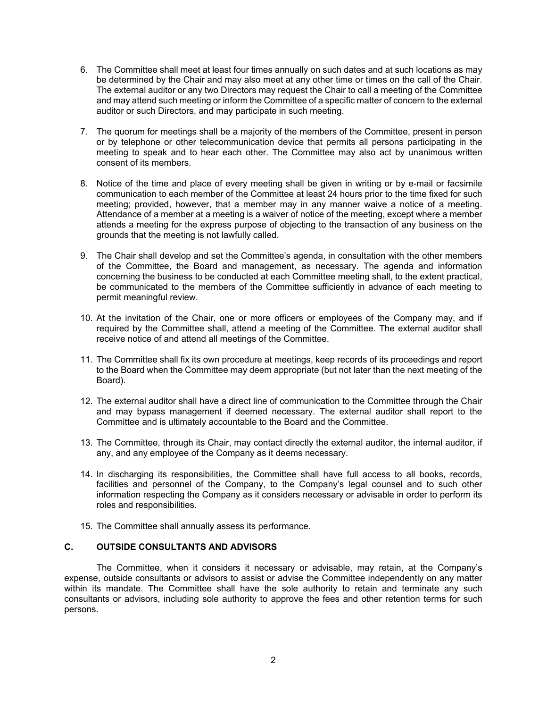- 6. The Committee shall meet at least four times annually on such dates and at such locations as may be determined by the Chair and may also meet at any other time or times on the call of the Chair. The external auditor or any two Directors may request the Chair to call a meeting of the Committee and may attend such meeting or inform the Committee of a specific matter of concern to the external auditor or such Directors, and may participate in such meeting.
- 7. The quorum for meetings shall be a majority of the members of the Committee, present in person or by telephone or other telecommunication device that permits all persons participating in the meeting to speak and to hear each other. The Committee may also act by unanimous written consent of its members.
- 8. Notice of the time and place of every meeting shall be given in writing or by e-mail or facsimile communication to each member of the Committee at least 24 hours prior to the time fixed for such meeting; provided, however, that a member may in any manner waive a notice of a meeting. Attendance of a member at a meeting is a waiver of notice of the meeting, except where a member attends a meeting for the express purpose of objecting to the transaction of any business on the grounds that the meeting is not lawfully called.
- 9. The Chair shall develop and set the Committee's agenda, in consultation with the other members of the Committee, the Board and management, as necessary. The agenda and information concerning the business to be conducted at each Committee meeting shall, to the extent practical, be communicated to the members of the Committee sufficiently in advance of each meeting to permit meaningful review.
- 10. At the invitation of the Chair, one or more officers or employees of the Company may, and if required by the Committee shall, attend a meeting of the Committee. The external auditor shall receive notice of and attend all meetings of the Committee.
- 11. The Committee shall fix its own procedure at meetings, keep records of its proceedings and report to the Board when the Committee may deem appropriate (but not later than the next meeting of the Board).
- 12. The external auditor shall have a direct line of communication to the Committee through the Chair and may bypass management if deemed necessary. The external auditor shall report to the Committee and is ultimately accountable to the Board and the Committee.
- 13. The Committee, through its Chair, may contact directly the external auditor, the internal auditor, if any, and any employee of the Company as it deems necessary.
- 14. In discharging its responsibilities, the Committee shall have full access to all books, records, facilities and personnel of the Company, to the Company's legal counsel and to such other information respecting the Company as it considers necessary or advisable in order to perform its roles and responsibilities.
- 15. The Committee shall annually assess its performance.

# **C. OUTSIDE CONSULTANTS AND ADVISORS**

The Committee, when it considers it necessary or advisable, may retain, at the Company's expense, outside consultants or advisors to assist or advise the Committee independently on any matter within its mandate. The Committee shall have the sole authority to retain and terminate any such consultants or advisors, including sole authority to approve the fees and other retention terms for such persons.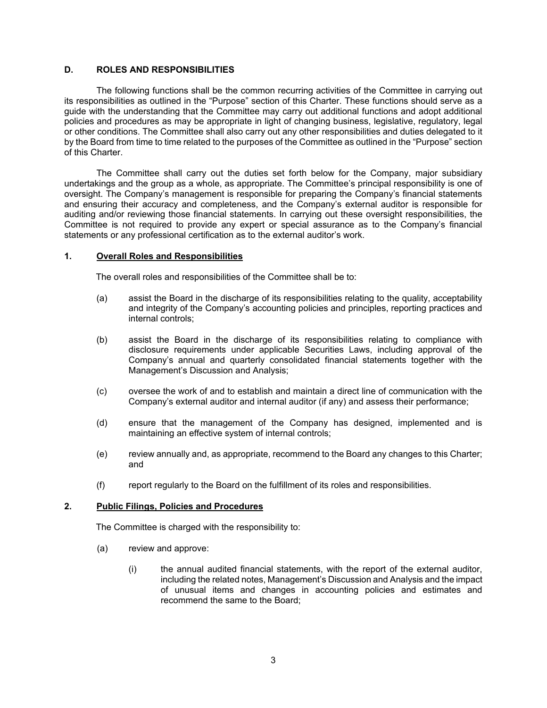### **D. ROLES AND RESPONSIBILITIES**

The following functions shall be the common recurring activities of the Committee in carrying out its responsibilities as outlined in the "Purpose" section of this Charter. These functions should serve as a guide with the understanding that the Committee may carry out additional functions and adopt additional policies and procedures as may be appropriate in light of changing business, legislative, regulatory, legal or other conditions. The Committee shall also carry out any other responsibilities and duties delegated to it by the Board from time to time related to the purposes of the Committee as outlined in the "Purpose" section of this Charter.

The Committee shall carry out the duties set forth below for the Company, major subsidiary undertakings and the group as a whole, as appropriate. The Committee's principal responsibility is one of oversight. The Company's management is responsible for preparing the Company's financial statements and ensuring their accuracy and completeness, and the Company's external auditor is responsible for auditing and/or reviewing those financial statements. In carrying out these oversight responsibilities, the Committee is not required to provide any expert or special assurance as to the Company's financial statements or any professional certification as to the external auditor's work.

### **1. Overall Roles and Responsibilities**

The overall roles and responsibilities of the Committee shall be to:

- (a) assist the Board in the discharge of its responsibilities relating to the quality, acceptability and integrity of the Company's accounting policies and principles, reporting practices and internal controls;
- (b) assist the Board in the discharge of its responsibilities relating to compliance with disclosure requirements under applicable Securities Laws, including approval of the Company's annual and quarterly consolidated financial statements together with the Management's Discussion and Analysis;
- (c) oversee the work of and to establish and maintain a direct line of communication with the Company's external auditor and internal auditor (if any) and assess their performance;
- (d) ensure that the management of the Company has designed, implemented and is maintaining an effective system of internal controls;
- (e) review annually and, as appropriate, recommend to the Board any changes to this Charter; and
- (f) report regularly to the Board on the fulfillment of its roles and responsibilities.

## **2. Public Filings, Policies and Procedures**

The Committee is charged with the responsibility to:

- (a) review and approve:
	- (i) the annual audited financial statements, with the report of the external auditor, including the related notes, Management's Discussion and Analysis and the impact of unusual items and changes in accounting policies and estimates and recommend the same to the Board;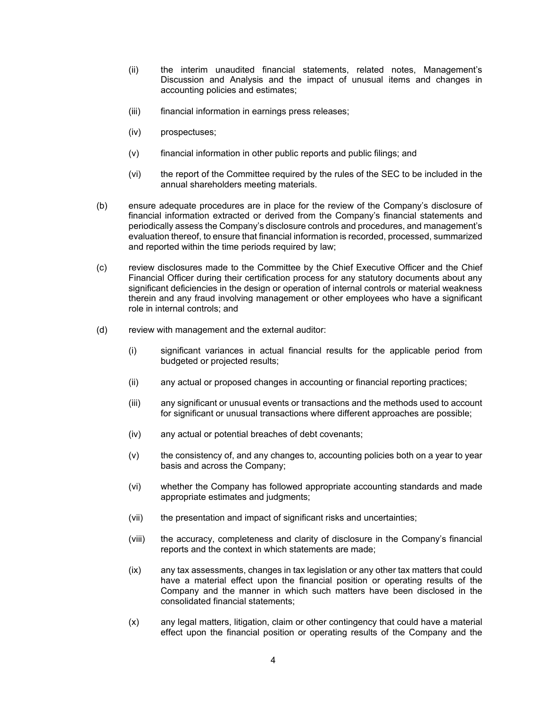- (ii) the interim unaudited financial statements, related notes, Management's Discussion and Analysis and the impact of unusual items and changes in accounting policies and estimates;
- (iii) financial information in earnings press releases;
- (iv) prospectuses;
- (v) financial information in other public reports and public filings; and
- (vi) the report of the Committee required by the rules of the SEC to be included in the annual shareholders meeting materials.
- (b) ensure adequate procedures are in place for the review of the Company's disclosure of financial information extracted or derived from the Company's financial statements and periodically assess the Company's disclosure controls and procedures, and management's evaluation thereof, to ensure that financial information is recorded, processed, summarized and reported within the time periods required by law;
- (c) review disclosures made to the Committee by the Chief Executive Officer and the Chief Financial Officer during their certification process for any statutory documents about any significant deficiencies in the design or operation of internal controls or material weakness therein and any fraud involving management or other employees who have a significant role in internal controls; and
- (d) review with management and the external auditor:
	- (i) significant variances in actual financial results for the applicable period from budgeted or projected results;
	- (ii) any actual or proposed changes in accounting or financial reporting practices;
	- (iii) any significant or unusual events or transactions and the methods used to account for significant or unusual transactions where different approaches are possible;
	- (iv) any actual or potential breaches of debt covenants;
	- (v) the consistency of, and any changes to, accounting policies both on a year to year basis and across the Company;
	- (vi) whether the Company has followed appropriate accounting standards and made appropriate estimates and judgments;
	- (vii) the presentation and impact of significant risks and uncertainties;
	- (viii) the accuracy, completeness and clarity of disclosure in the Company's financial reports and the context in which statements are made;
	- (ix) any tax assessments, changes in tax legislation or any other tax matters that could have a material effect upon the financial position or operating results of the Company and the manner in which such matters have been disclosed in the consolidated financial statements;
	- (x) any legal matters, litigation, claim or other contingency that could have a material effect upon the financial position or operating results of the Company and the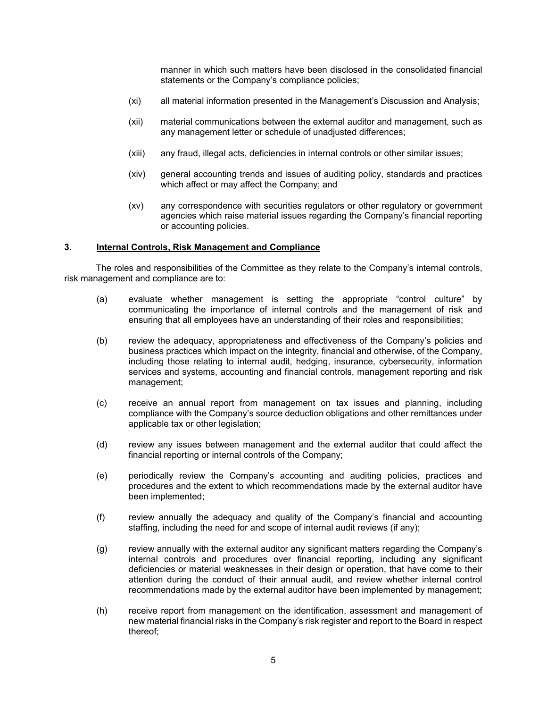manner in which such matters have been disclosed in the consolidated financial statements or the Company's compliance policies;

- (xi) all material information presented in the Management's Discussion and Analysis;
- (xii) material communications between the external auditor and management, such as any management letter or schedule of unadjusted differences;
- (xiii) any fraud, illegal acts, deficiencies in internal controls or other similar issues;
- (xiv) general accounting trends and issues of auditing policy, standards and practices which affect or may affect the Company; and
- (xv) any correspondence with securities regulators or other regulatory or government agencies which raise material issues regarding the Company's financial reporting or accounting policies.

#### **3. Internal Controls, Risk Management and Compliance**

The roles and responsibilities of the Committee as they relate to the Company's internal controls, risk management and compliance are to:

- (a) evaluate whether management is setting the appropriate "control culture" by communicating the importance of internal controls and the management of risk and ensuring that all employees have an understanding of their roles and responsibilities;
- (b) review the adequacy, appropriateness and effectiveness of the Company's policies and business practices which impact on the integrity, financial and otherwise, of the Company, including those relating to internal audit, hedging, insurance, cybersecurity, information services and systems, accounting and financial controls, management reporting and risk management;
- (c) receive an annual report from management on tax issues and planning, including compliance with the Company's source deduction obligations and other remittances under applicable tax or other legislation;
- (d) review any issues between management and the external auditor that could affect the financial reporting or internal controls of the Company;
- (e) periodically review the Company's accounting and auditing policies, practices and procedures and the extent to which recommendations made by the external auditor have been implemented;
- (f) review annually the adequacy and quality of the Company's financial and accounting staffing, including the need for and scope of internal audit reviews (if any);
- (g) review annually with the external auditor any significant matters regarding the Company's internal controls and procedures over financial reporting, including any significant deficiencies or material weaknesses in their design or operation, that have come to their attention during the conduct of their annual audit, and review whether internal control recommendations made by the external auditor have been implemented by management;
- (h) receive report from management on the identification, assessment and management of new material financial risks in the Company's risk register and report to the Board in respect thereof;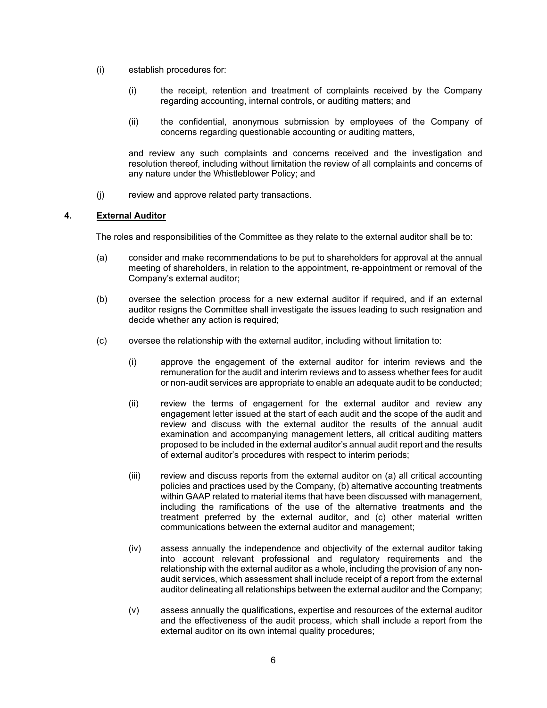- (i) establish procedures for:
	- (i) the receipt, retention and treatment of complaints received by the Company regarding accounting, internal controls, or auditing matters; and
	- (ii) the confidential, anonymous submission by employees of the Company of concerns regarding questionable accounting or auditing matters,

and review any such complaints and concerns received and the investigation and resolution thereof, including without limitation the review of all complaints and concerns of any nature under the Whistleblower Policy; and

(j) review and approve related party transactions.

## **4. External Auditor**

The roles and responsibilities of the Committee as they relate to the external auditor shall be to:

- (a) consider and make recommendations to be put to shareholders for approval at the annual meeting of shareholders, in relation to the appointment, re-appointment or removal of the Company's external auditor;
- (b) oversee the selection process for a new external auditor if required, and if an external auditor resigns the Committee shall investigate the issues leading to such resignation and decide whether any action is required;
- (c) oversee the relationship with the external auditor, including without limitation to:
	- (i) approve the engagement of the external auditor for interim reviews and the remuneration for the audit and interim reviews and to assess whether fees for audit or non-audit services are appropriate to enable an adequate audit to be conducted;
	- (ii) review the terms of engagement for the external auditor and review any engagement letter issued at the start of each audit and the scope of the audit and review and discuss with the external auditor the results of the annual audit examination and accompanying management letters, all critical auditing matters proposed to be included in the external auditor's annual audit report and the results of external auditor's procedures with respect to interim periods;
	- (iii) review and discuss reports from the external auditor on (a) all critical accounting policies and practices used by the Company, (b) alternative accounting treatments within GAAP related to material items that have been discussed with management, including the ramifications of the use of the alternative treatments and the treatment preferred by the external auditor, and (c) other material written communications between the external auditor and management;
	- (iv) assess annually the independence and objectivity of the external auditor taking into account relevant professional and regulatory requirements and the relationship with the external auditor as a whole, including the provision of any nonaudit services, which assessment shall include receipt of a report from the external auditor delineating all relationships between the external auditor and the Company;
	- (v) assess annually the qualifications, expertise and resources of the external auditor and the effectiveness of the audit process, which shall include a report from the external auditor on its own internal quality procedures;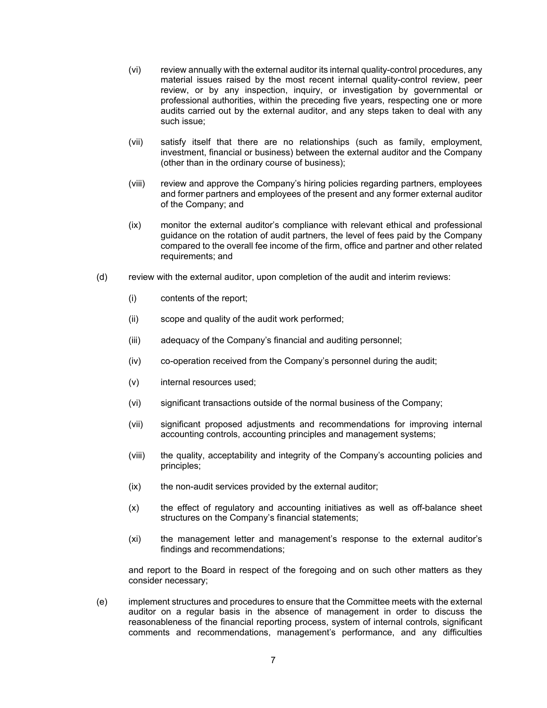- (vi) review annually with the external auditor its internal quality-control procedures, any material issues raised by the most recent internal quality-control review, peer review, or by any inspection, inquiry, or investigation by governmental or professional authorities, within the preceding five years, respecting one or more audits carried out by the external auditor, and any steps taken to deal with any such issue;
- (vii) satisfy itself that there are no relationships (such as family, employment, investment, financial or business) between the external auditor and the Company (other than in the ordinary course of business);
- (viii) review and approve the Company's hiring policies regarding partners, employees and former partners and employees of the present and any former external auditor of the Company; and
- (ix) monitor the external auditor's compliance with relevant ethical and professional guidance on the rotation of audit partners, the level of fees paid by the Company compared to the overall fee income of the firm, office and partner and other related requirements; and
- (d) review with the external auditor, upon completion of the audit and interim reviews:
	- (i) contents of the report;
	- (ii) scope and quality of the audit work performed;
	- (iii) adequacy of the Company's financial and auditing personnel;
	- (iv) co-operation received from the Company's personnel during the audit;
	- (v) internal resources used;
	- (vi) significant transactions outside of the normal business of the Company;
	- (vii) significant proposed adjustments and recommendations for improving internal accounting controls, accounting principles and management systems;
	- (viii) the quality, acceptability and integrity of the Company's accounting policies and principles;
	- (ix) the non-audit services provided by the external auditor;
	- (x) the effect of regulatory and accounting initiatives as well as off-balance sheet structures on the Company's financial statements;
	- (xi) the management letter and management's response to the external auditor's findings and recommendations;

and report to the Board in respect of the foregoing and on such other matters as they consider necessary;

(e) implement structures and procedures to ensure that the Committee meets with the external auditor on a regular basis in the absence of management in order to discuss the reasonableness of the financial reporting process, system of internal controls, significant comments and recommendations, management's performance, and any difficulties